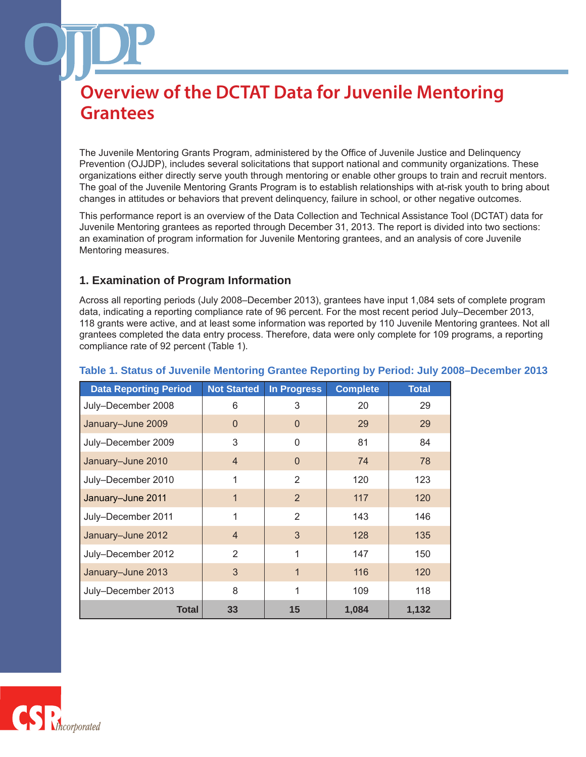The Juvenile Mentoring Grants Program, administered by the Office of Juvenile Justice and Delinquency Prevention (OJJDP), includes several solicitations that support national and community organizations. These organizations either directly serve youth through mentoring or enable other groups to train and recruit mentors. The goal of the Juvenile Mentoring Grants Program is to establish relationships with at-risk youth to bring about changes in attitudes or behaviors that prevent delinquency, failure in school, or other negative outcomes.

This performance report is an overview of the Data Collection and Technical Assistance Tool (DCTAT) data for Juvenile Mentoring grantees as reported through December 31, 2013. The report is divided into two sections: an examination of program information for Juvenile Mentoring grantees, and an analysis of core Juvenile Mentoring measures.

### **1. Examination of Program Information**

Across all reporting periods (July 2008–December 2013), grantees have input 1,084 sets of complete program data, indicating a reporting compliance rate of 96 percent. For the most recent period July–December 2013, 118 grants were active, and at least some information was reported by 110 Juvenile Mentoring grantees. Not all grantees completed the data entry process. Therefore, data were only complete for 109 programs, a reporting compliance rate of 92 percent (Table 1).

| <b>Data Reporting Period</b> | <b>Not Started</b> | <b>In Progress</b> | <b>Complete</b> | <b>Total</b> |
|------------------------------|--------------------|--------------------|-----------------|--------------|
| July-December 2008           | 6                  | 3                  | 20              | 29           |
| January-June 2009            | $\Omega$           | $\mathbf{0}$       | 29              | 29           |
| July-December 2009           | 3                  | 0                  | 81              | 84           |
| January-June 2010            | $\overline{4}$     | $\mathbf{0}$       | 74              | 78           |
| July-December 2010           | 1                  | 2                  | 120             | 123          |
| January-June 2011            | 1                  | 2                  | 117             | 120          |
| July-December 2011           | 1                  | 2                  | 143             | 146          |
| January-June 2012            | $\overline{4}$     | 3                  | 128             | 135          |
| July-December 2012           | $\overline{2}$     | 1                  | 147             | 150          |
| January-June 2013            | 3                  | $\mathbf{1}$       | 116             | 120          |
| July-December 2013           | 8                  | 1                  | 109             | 118          |
| Total                        | 33                 | 15                 | 1,084           | 1,132        |

### **Table 1. Status of Juvenile Mentoring Grantee Reporting by Period: July 2008–December 2013**

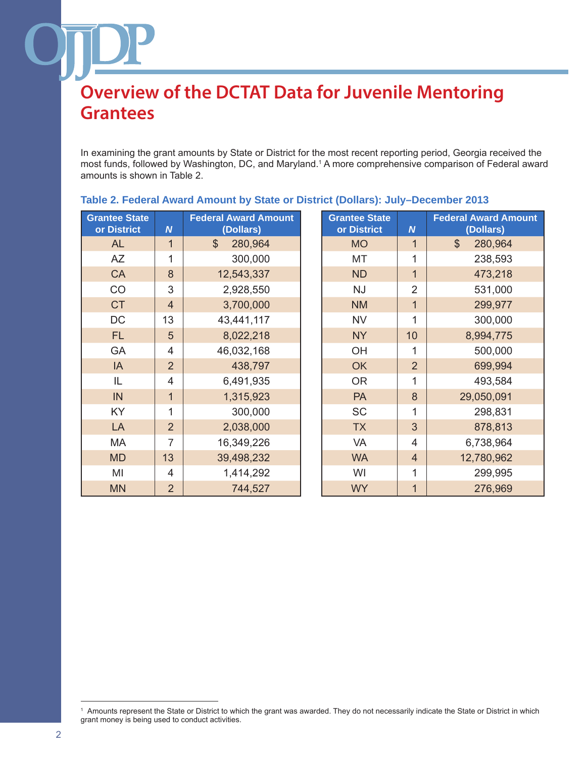In examining the grant amounts by State or District for the most recent reporting period, Georgia received the most funds, followed by Washington, DC, and Maryland.<sup>1</sup> A more comprehensive comparison of Federal award amounts is shown in Table 2.

| <b>Grantee State</b><br>or District | $\boldsymbol{N}$ | <b>Federal Award Amount</b><br>(Dollars) | <b>Grantee State</b><br>or District | $\boldsymbol{N}$ | <b>Federal Award An</b><br>(Dollars) |
|-------------------------------------|------------------|------------------------------------------|-------------------------------------|------------------|--------------------------------------|
| <b>AL</b>                           | 1                | 280,964<br>$\mathcal{S}$                 | <b>MO</b>                           | $\mathbf{1}$     | 280,964<br>$\mathcal{S}$             |
| <b>AZ</b>                           | 1                | 300,000                                  | MT                                  | 1                | 238,593                              |
| <b>CA</b>                           | 8                | 12,543,337                               | <b>ND</b>                           | $\mathbf{1}$     | 473,218                              |
| CO                                  | 3                | 2,928,550                                | <b>NJ</b>                           | $\overline{2}$   | 531,000                              |
| <b>CT</b>                           | $\overline{4}$   | 3,700,000                                | <b>NM</b>                           | $\mathbf 1$      | 299,977                              |
| DC                                  | 13               | 43,441,117                               | <b>NV</b>                           | 1                | 300,000                              |
| FL.                                 | 5                | 8,022,218                                | <b>NY</b>                           | 10               | 8,994,775                            |
| GA                                  | $\overline{4}$   | 46,032,168                               | OH                                  | 1                | 500,000                              |
| IA                                  | $\overline{2}$   | 438,797                                  | <b>OK</b>                           | $\overline{2}$   | 699,994                              |
| IL                                  | $\overline{4}$   | 6,491,935                                | <b>OR</b>                           | 1                | 493,584                              |
| IN                                  | $\mathbf{1}$     | 1,315,923                                | PA                                  | $\delta$         | 29,050,091                           |
| KY                                  | 1                | 300,000                                  | <b>SC</b>                           | 1                | 298,831                              |
| LA                                  | $\overline{2}$   | 2,038,000                                | <b>TX</b>                           | 3                | 878,813                              |
| MA                                  | $\overline{7}$   | 16,349,226                               | VA                                  | $\overline{4}$   | 6,738,964                            |
| <b>MD</b>                           | 13               | 39,498,232                               | <b>WA</b>                           | $\overline{4}$   | 12,780,962                           |
| MI                                  | 4                | 1,414,292                                | WI                                  | 1                | 299,995                              |
| <b>MN</b>                           | $\overline{2}$   | 744,527                                  | <b>WY</b>                           | $\mathbf 1$      | 276,969                              |

### **Table 2. Federal Award Amount by State or District (Dollars): July–December 2013**

| <b>Grantee State</b><br>or District | $\boldsymbol{N}$ | <b>Federal Award Amount</b><br>(Dollars) |
|-------------------------------------|------------------|------------------------------------------|
| <b>MO</b>                           | 1                | \$<br>280,964                            |
| МT                                  | 1                | 238,593                                  |
| <b>ND</b>                           | $\overline{1}$   | 473,218                                  |
| NJ                                  | $\overline{2}$   | 531,000                                  |
| <b>NM</b>                           | $\overline{1}$   | 299,977                                  |
| <b>NV</b>                           | 1                | 300,000                                  |
| <b>NY</b>                           | 10               | 8,994,775                                |
| OH                                  | 1                | 500,000                                  |
| OK                                  | $\overline{2}$   | 699,994                                  |
| <b>OR</b>                           | 1                | 493,584                                  |
| <b>PA</b>                           | 8                | 29,050,091                               |
| <b>SC</b>                           | 1                | 298,831                                  |
| <b>TX</b>                           | 3                | 878,813                                  |
| <b>VA</b>                           | 4                | 6,738,964                                |
| <b>WA</b>                           | $\overline{4}$   | 12,780,962                               |
| WI                                  | 1                | 299,995                                  |
| <b>WY</b>                           | 1                | 276,969                                  |

<sup>1</sup> Amounts represent the State or District to which the grant was awarded. They do not necessarily indicate the State or District in which grant money is being used to conduct activities.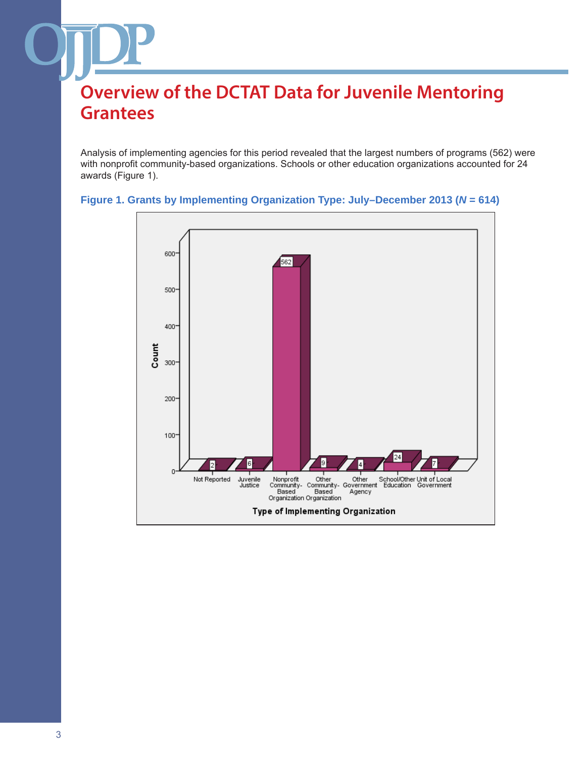Analysis of implementing agencies for this period revealed that the largest numbers of programs (562) were with nonprofit community-based organizations. Schools or other education organizations accounted for 24 awards (Figure 1).



### **Figure 1. Grants by Implementing Organization Type: July–December 2013 (***N* **= 614)**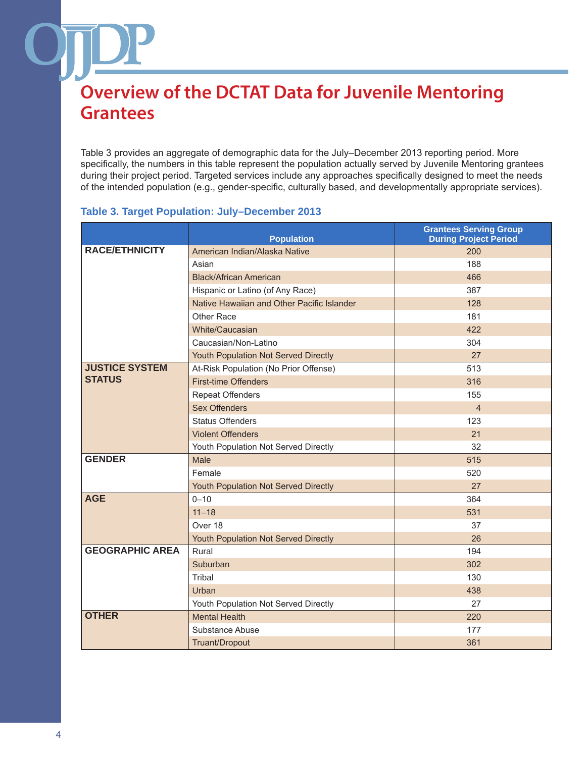Table 3 provides an aggregate of demographic data for the July–December 2013 reporting period. More specifically, the numbers in this table represent the population actually served by Juvenile Mentoring grantees during their project period. Targeted services include any approaches specifically designed to meet the needs of the intended population (e.g., gender-specific, culturally based, and developmentally appropriate services).

#### **Population Grantees Serving Group During Project Period RACE/ETHNICITY** American Indian/Alaska Native 200 Asian 188 Black/African American 466 Hispanic or Latino (of Any Race) 387 Native Hawaiian and Other Pacific Islander 128 Other Race 181 White/Caucasian 422 Caucasian/Non-Latino 304 Youth Population Not Served Directly **27** and 27 **JUSTICE SYSTEM STATUS** At-Risk Population (No Prior Offense) **513** First-time Offenders 316 Repeat Offenders 155 Sex Offenders **4** and  $\overline{a}$  **4** Status Offenders 123 Violent Offenders 21 Youth Population Not Served Directly **32 GENDER** Male 515 Female 520 Youth Population Not Served Directly **27** and 27 **AGE** 0–10 364 11–18 531 Over 18 37 Youth Population Not Served Directly **26** 26 **GEOGRAPHIC AREA** Rural 194 Suburban 302 Tribal 130 Urban 1980 - Andrea Britain, actor and a control of the control of the control of the control of the control o Youth Population Not Served Directly **27 OTHER** Mental Health 220 Substance Abuse 177 Truant/Dropout 361

### **Table 3. Target Population: July–December 2013**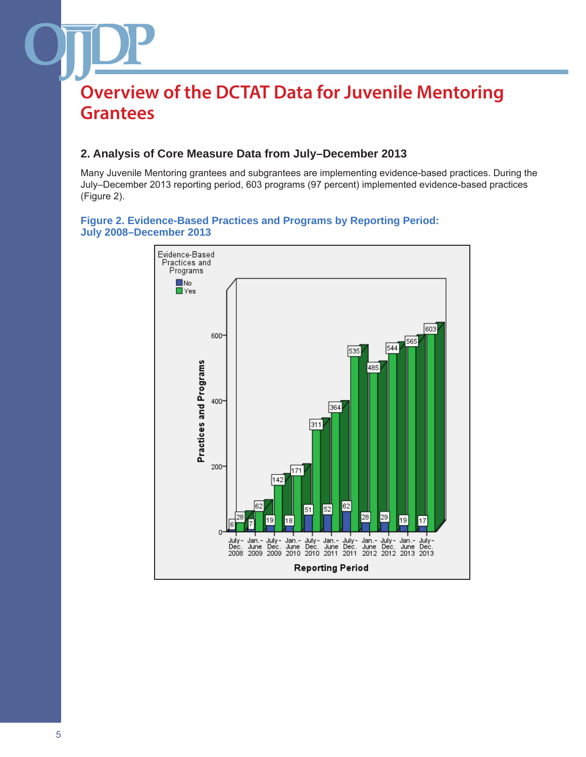### **2. Analysis of Core Measure Data from July–December 2013**

Many Juvenile Mentoring grantees and subgrantees are implementing evidence-based practices. During the July–December 2013 reporting period, 603 programs (97 percent) implemented evidence-based practices (Figure 2).



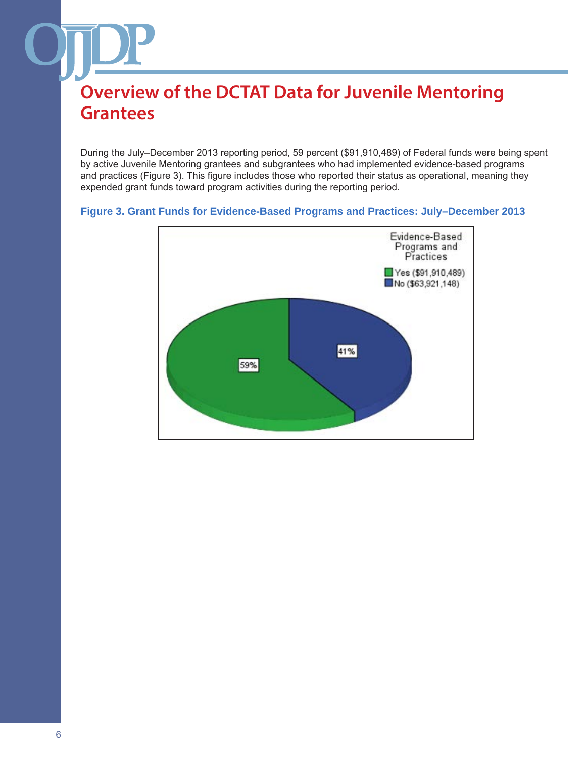During the July–December 2013 reporting period, 59 percent (\$91,910,489) of Federal funds were being spent by active Juvenile Mentoring grantees and subgrantees who had implemented evidence-based programs and practices (Figure 3). This figure includes those who reported their status as operational, meaning they expended grant funds toward program activities during the reporting period.

#### **Figure 3. Grant Funds for Evidence-Based Programs and Practices: July–December 2013**

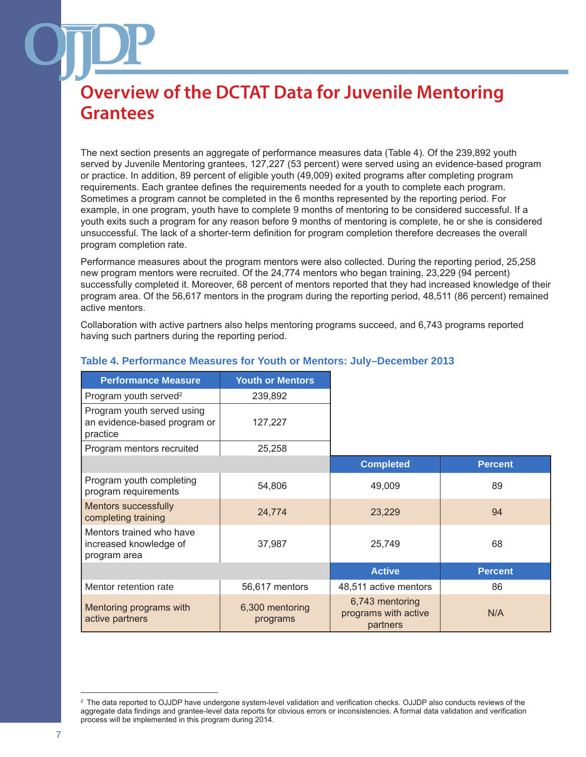The next section presents an aggregate of performance measures data (Table 4). Of the 239,892 youth served by Juvenile Mentoring grantees, 127,227 (53 percent) were served using an evidence-based program or practice. In addition, 89 percent of eligible youth (49,009) exited programs after completing program requirements. Each grantee defines the requirements needed for a youth to complete each program. Sometimes a program cannot be completed in the 6 months represented by the reporting period. For example, in one program, youth have to complete 9 months of mentoring to be considered successful. If a youth exits such a program for any reason before 9 months of mentoring is complete, he or she is considered unsuccessful. The lack of a shorter-term definition for program completion therefore decreases the overall program completion rate.

Performance measures about the program mentors were also collected. During the reporting period, 25,258 new program mentors were recruited. Of the 24,774 mentors who began training, 23,229 (94 percent) successfully completed it. Moreover, 68 percent of mentors reported that they had increased knowledge of their program area. Of the 56,617 mentors in the program during the reporting period, 48,511 (86 percent) remained active mentors.

Collaboration with active partners also helps mentoring programs succeed, and 6,743 programs reported having such partners during the reporting period.

| <b>Performance Measure</b>                                             | <b>Youth or Mentors</b>     |                                                     |                |
|------------------------------------------------------------------------|-----------------------------|-----------------------------------------------------|----------------|
| Program youth served <sup>2</sup>                                      | 239,892                     |                                                     |                |
| Program youth served using<br>an evidence-based program or<br>practice | 127,227                     |                                                     |                |
| Program mentors recruited                                              | 25,258                      |                                                     |                |
|                                                                        |                             | <b>Completed</b>                                    | <b>Percent</b> |
| Program youth completing<br>program requirements                       | 54,806                      | 49,009                                              | 89             |
| <b>Mentors successfully</b><br>completing training                     | 24,774                      | 23,229                                              | 94             |
| Mentors trained who have<br>increased knowledge of<br>program area     | 37,987                      | 25,749                                              | 68             |
|                                                                        |                             | <b>Active</b>                                       | <b>Percent</b> |
| Mentor retention rate                                                  | 56,617 mentors              | 48,511 active mentors                               | 86             |
| Mentoring programs with<br>active partners                             | 6,300 mentoring<br>programs | 6,743 mentoring<br>programs with active<br>partners | N/A            |

#### **Table 4. Performance Measures for Youth or Mentors: July–December 2013**

<sup>2</sup> The data reported to OJJDP have undergone system-level validation and verification checks. OJJDP also conducts reviews of the aggregate data findings and grantee-level data reports for obvious errors or inconsistencies. A formal data validation and verification process will be implemented in this program during 2014.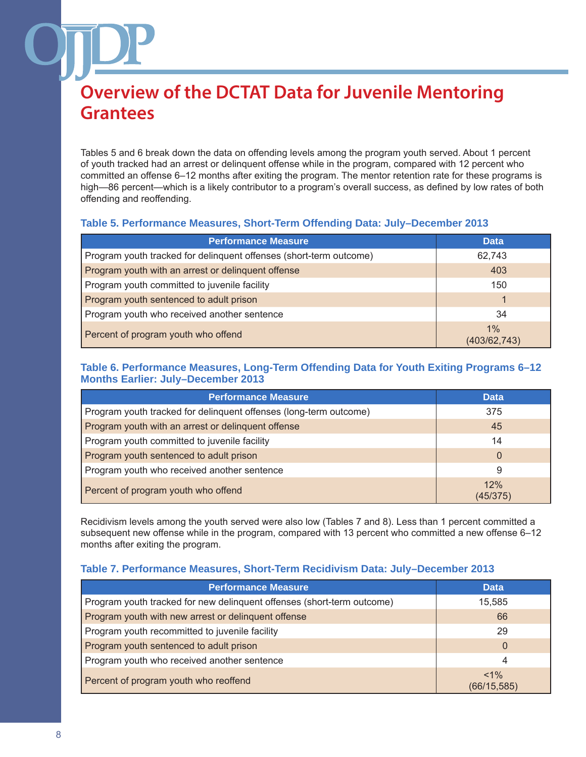Tables 5 and 6 break down the data on offending levels among the program youth served. About 1 percent of youth tracked had an arrest or delinquent offense while in the program, compared with 12 percent who committed an offense 6–12 months after exiting the program. The mentor retention rate for these programs is high—86 percent—which is a likely contributor to a program's overall success, as defined by low rates of both offending and reoffending.

### **Table 5. Performance Measures, Short-Term Offending Data: July–December 2013**

| <b>Performance Measure</b>                                         | <b>Data</b>        |
|--------------------------------------------------------------------|--------------------|
| Program youth tracked for delinquent offenses (short-term outcome) | 62,743             |
| Program youth with an arrest or delinquent offense                 | 403                |
| Program youth committed to juvenile facility                       | 150                |
| Program youth sentenced to adult prison                            |                    |
| Program youth who received another sentence                        | 34                 |
| Percent of program youth who offend                                | 1%<br>(403/62,743) |

### **Table 6. Performance Measures, Long-Term Offending Data for Youth Exiting Programs 6–12 Months Earlier: July–December 2013**

| <b>Performance Measure</b>                                        | <b>Data</b>     |
|-------------------------------------------------------------------|-----------------|
| Program youth tracked for delinquent offenses (long-term outcome) | 375             |
| Program youth with an arrest or delinquent offense                | 45              |
| Program youth committed to juvenile facility                      | 14              |
| Program youth sentenced to adult prison                           | $\overline{0}$  |
| Program youth who received another sentence                       | 9               |
| Percent of program youth who offend                               | 12%<br>(45/375) |

Recidivism levels among the youth served were also low (Tables 7 and 8). Less than 1 percent committed a subsequent new offense while in the program, compared with 13 percent who committed a new offense 6–12 months after exiting the program.

### **Table 7. Performance Measures, Short-Term Recidivism Data: July–December 2013**

| <b>Performance Measure</b>                                             | <b>Data</b>             |
|------------------------------------------------------------------------|-------------------------|
| Program youth tracked for new delinquent offenses (short-term outcome) | 15,585                  |
| Program youth with new arrest or delinquent offense                    | 66                      |
| Program youth recommitted to juvenile facility                         | 29                      |
| Program youth sentenced to adult prison                                | 0                       |
| Program youth who received another sentence                            | 4                       |
| Percent of program youth who reoffend                                  | $< 1\%$<br>(66/15, 585) |